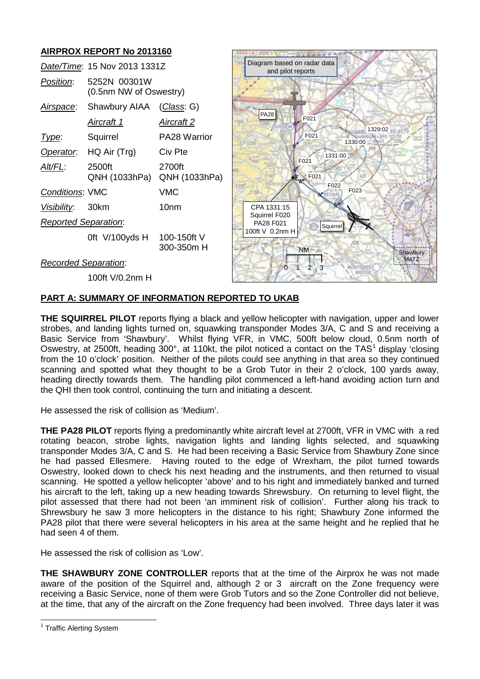# **AIRPROX REPORT No 2013160**

|                             | Date/Time: 15 Nov 2013 1331Z           |                           |
|-----------------------------|----------------------------------------|---------------------------|
| Position:                   | 5252N 00301W<br>(0.5nm NW of Oswestry) |                           |
| <u>Airspace:</u>            | Shawbury AIAA (Class: G)               |                           |
|                             | <u>Aircraft 1</u>                      | <u>Aircraft 2</u>         |
| Type:                       | Squirrel                               | PA28 Warrior              |
|                             | Operator. HQ Air (Trg)                 | Civ Pte                   |
| Alt/FL:                     | 2500ft<br>QNH (1033hPa)                | 2700ft<br>QNH (1033hPa)   |
| <b>Conditions: VMC</b>      |                                        | VMC                       |
| Visibility: 30km            |                                        | 10nm                      |
| <b>Reported Separation:</b> |                                        |                           |
|                             | 0ft V/100yds H                         | 100-150ft V<br>300-350m H |
| Docordod Conoration         |                                        |                           |



#### *Recorded Separation*:

100ft V/0.2nm H

## **PART A: SUMMARY OF INFORMATION REPORTED TO UKAB**

**THE SQUIRREL PILOT** reports flying a black and yellow helicopter with navigation, upper and lower strobes, and landing lights turned on, squawking transponder Modes 3/A, C and S and receiving a Basic Service from 'Shawbury'. Whilst flying VFR, in VMC, 500ft below cloud, 0.5nm north of Oswestry, at 2500ft, heading 300°, at [1](#page-0-0)10kt, the pilot noticed a contact on the TAS<sup>1</sup> display 'closing from the 10 o'clock' position. Neither of the pilots could see anything in that area so they continued scanning and spotted what they thought to be a Grob Tutor in their 2 o'clock, 100 yards away, heading directly towards them. The handling pilot commenced a left-hand avoiding action turn and the QHI then took control, continuing the turn and initiating a descent.

He assessed the risk of collision as 'Medium'.

**THE PA28 PILOT** reports flying a predominantly white aircraft level at 2700ft, VFR in VMC with a red rotating beacon, strobe lights, navigation lights and landing lights selected, and squawking transponder Modes 3/A, C and S. He had been receiving a Basic Service from Shawbury Zone since he had passed Ellesmere. Having routed to the edge of Wrexham, the pilot turned towards Oswestry, looked down to check his next heading and the instruments, and then returned to visual scanning. He spotted a yellow helicopter 'above' and to his right and immediately banked and turned his aircraft to the left, taking up a new heading towards Shrewsbury. On returning to level flight, the pilot assessed that there had not been 'an imminent risk of collision'. Further along his track to Shrewsbury he saw 3 more helicopters in the distance to his right; Shawbury Zone informed the PA28 pilot that there were several helicopters in his area at the same height and he replied that he had seen 4 of them.

He assessed the risk of collision as 'Low'.

**THE SHAWBURY ZONE CONTROLLER** reports that at the time of the Airprox he was not made aware of the position of the Squirrel and, although 2 or 3 aircraft on the Zone frequency were receiving a Basic Service, none of them were Grob Tutors and so the Zone Controller did not believe, at the time, that any of the aircraft on the Zone frequency had been involved. Three days later it was

<span id="page-0-0"></span><sup>&</sup>lt;sup>1</sup> Traffic Alerting System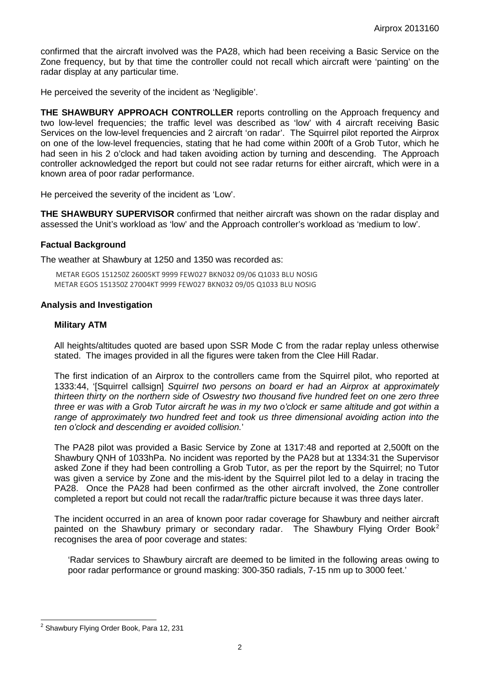confirmed that the aircraft involved was the PA28, which had been receiving a Basic Service on the Zone frequency, but by that time the controller could not recall which aircraft were 'painting' on the radar display at any particular time.

He perceived the severity of the incident as 'Negligible'.

**THE SHAWBURY APPROACH CONTROLLER** reports controlling on the Approach frequency and two low-level frequencies; the traffic level was described as 'low' with 4 aircraft receiving Basic Services on the low-level frequencies and 2 aircraft 'on radar'. The Squirrel pilot reported the Airprox on one of the low-level frequencies, stating that he had come within 200ft of a Grob Tutor, which he had seen in his 2 o'clock and had taken avoiding action by turning and descending. The Approach controller acknowledged the report but could not see radar returns for either aircraft, which were in a known area of poor radar performance.

He perceived the severity of the incident as 'Low'.

**THE SHAWBURY SUPERVISOR** confirmed that neither aircraft was shown on the radar display and assessed the Unit's workload as 'low' and the Approach controller's workload as 'medium to low'.

#### **Factual Background**

The weather at Shawbury at 1250 and 1350 was recorded as:

METAR EGOS 151250Z 26005KT 9999 FEW027 BKN032 09/06 Q1033 BLU NOSIG METAR EGOS 151350Z 27004KT 9999 FEW027 BKN032 09/05 Q1033 BLU NOSIG

#### **Analysis and Investigation**

#### **Military ATM**

All heights/altitudes quoted are based upon SSR Mode C from the radar replay unless otherwise stated. The images provided in all the figures were taken from the Clee Hill Radar.

The first indication of an Airprox to the controllers came from the Squirrel pilot, who reported at 1333:44, '[Squirrel callsign] *Squirrel two persons on board er had an Airprox at approximately thirteen thirty on the northern side of Oswestry two thousand five hundred feet on one zero three three er was with a Grob Tutor aircraft he was in my two o'clock er same altitude and got within a range of approximately two hundred feet and took us three dimensional avoiding action into the ten o'clock and descending er avoided collision.*'

The PA28 pilot was provided a Basic Service by Zone at 1317:48 and reported at 2,500ft on the Shawbury QNH of 1033hPa. No incident was reported by the PA28 but at 1334:31 the Supervisor asked Zone if they had been controlling a Grob Tutor, as per the report by the Squirrel; no Tutor was given a service by Zone and the mis-ident by the Squirrel pilot led to a delay in tracing the PA28. Once the PA28 had been confirmed as the other aircraft involved, the Zone controller completed a report but could not recall the radar/traffic picture because it was three days later.

The incident occurred in an area of known poor radar coverage for Shawbury and neither aircraft painted on the Shawbury primary or secondary radar. The Shawbury Flying Order Book<sup>[2](#page-1-0)</sup> recognises the area of poor coverage and states:

'Radar services to Shawbury aircraft are deemed to be limited in the following areas owing to poor radar performance or ground masking: 300-350 radials, 7-15 nm up to 3000 feet.'

<span id="page-1-0"></span><sup>&</sup>lt;sup>2</sup> Shawbury Flying Order Book, Para 12, 231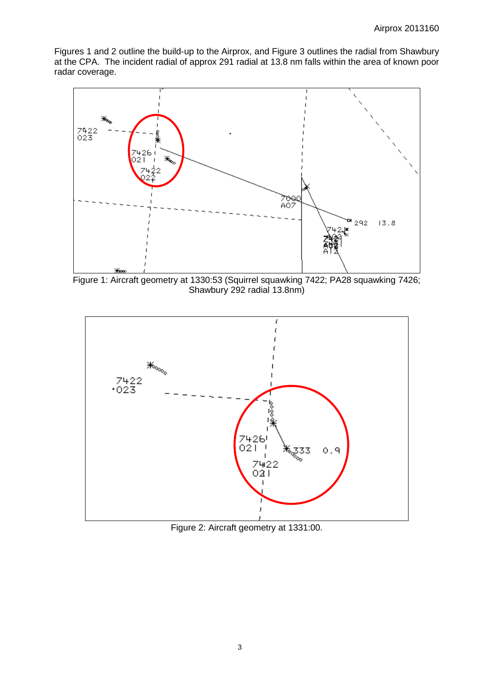Figures 1 and 2 outline the build-up to the Airprox, and Figure 3 outlines the radial from Shawbury at the CPA. The incident radial of approx 291 radial at 13.8 nm falls within the area of known poor radar coverage.



Figure 1: Aircraft geometry at 1330:53 (Squirrel squawking 7422; PA28 squawking 7426; Shawbury 292 radial 13.8nm)



Figure 2: Aircraft geometry at 1331:00.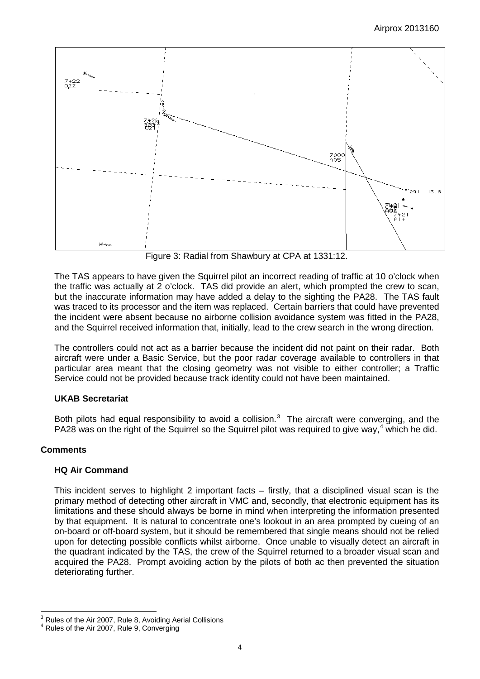

Figure 3: Radial from Shawbury at CPA at 1331:12.

The TAS appears to have given the Squirrel pilot an incorrect reading of traffic at 10 o'clock when the traffic was actually at 2 o'clock. TAS did provide an alert, which prompted the crew to scan, but the inaccurate information may have added a delay to the sighting the PA28. The TAS fault was traced to its processor and the item was replaced. Certain barriers that could have prevented the incident were absent because no airborne collision avoidance system was fitted in the PA28, and the Squirrel received information that, initially, lead to the crew search in the wrong direction.

The controllers could not act as a barrier because the incident did not paint on their radar. Both aircraft were under a Basic Service, but the poor radar coverage available to controllers in that particular area meant that the closing geometry was not visible to either controller; a Traffic Service could not be provided because track identity could not have been maintained.

## **UKAB Secretariat**

Both pilots had equal responsibility to avoid a collision. $3$  The aircraft were converging, and the PA28 was on the right of the Squirrel so the Squirrel pilot was required to give way,<sup>[4](#page-3-1)</sup> which he did.

## **Comments**

## **HQ Air Command**

This incident serves to highlight 2 important facts – firstly, that a disciplined visual scan is the primary method of detecting other aircraft in VMC and, secondly, that electronic equipment has its limitations and these should always be borne in mind when interpreting the information presented by that equipment. It is natural to concentrate one's lookout in an area prompted by cueing of an on-board or off-board system, but it should be remembered that single means should not be relied upon for detecting possible conflicts whilst airborne. Once unable to visually detect an aircraft in the quadrant indicated by the TAS, the crew of the Squirrel returned to a broader visual scan and acquired the PA28. Prompt avoiding action by the pilots of both ac then prevented the situation deteriorating further.

<span id="page-3-0"></span> $3$  Rules of the Air 2007, Rule 8, Avoiding Aerial Collisions  $4$  Rules of the Air 2007, Rule 9, Converging

<span id="page-3-1"></span>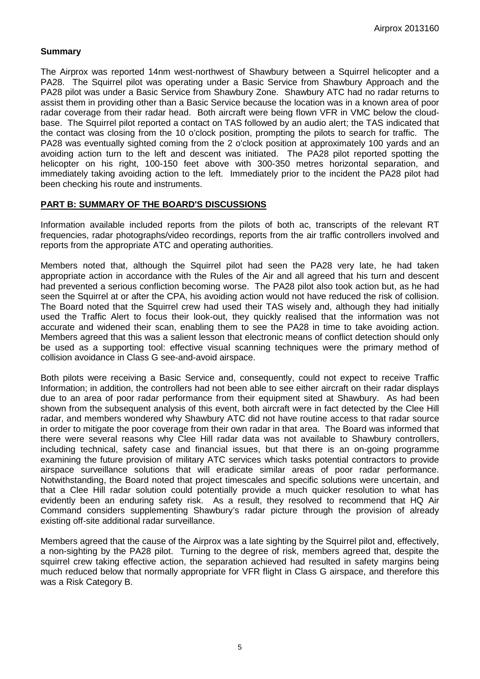## **Summary**

The Airprox was reported 14nm west-northwest of Shawbury between a Squirrel helicopter and a PA28. The Squirrel pilot was operating under a Basic Service from Shawbury Approach and the PA28 pilot was under a Basic Service from Shawbury Zone. Shawbury ATC had no radar returns to assist them in providing other than a Basic Service because the location was in a known area of poor radar coverage from their radar head. Both aircraft were being flown VFR in VMC below the cloudbase. The Squirrel pilot reported a contact on TAS followed by an audio alert; the TAS indicated that the contact was closing from the 10 o'clock position, prompting the pilots to search for traffic. The PA28 was eventually sighted coming from the 2 o'clock position at approximately 100 yards and an avoiding action turn to the left and descent was initiated. The PA28 pilot reported spotting the helicopter on his right, 100-150 feet above with 300-350 metres horizontal separation, and immediately taking avoiding action to the left. Immediately prior to the incident the PA28 pilot had been checking his route and instruments.

#### **PART B: SUMMARY OF THE BOARD'S DISCUSSIONS**

Information available included reports from the pilots of both ac, transcripts of the relevant RT frequencies, radar photographs/video recordings, reports from the air traffic controllers involved and reports from the appropriate ATC and operating authorities.

Members noted that, although the Squirrel pilot had seen the PA28 very late, he had taken appropriate action in accordance with the Rules of the Air and all agreed that his turn and descent had prevented a serious confliction becoming worse. The PA28 pilot also took action but, as he had seen the Squirrel at or after the CPA, his avoiding action would not have reduced the risk of collision. The Board noted that the Squirrel crew had used their TAS wisely and, although they had initially used the Traffic Alert to focus their look-out, they quickly realised that the information was not accurate and widened their scan, enabling them to see the PA28 in time to take avoiding action. Members agreed that this was a salient lesson that electronic means of conflict detection should only be used as a supporting tool: effective visual scanning techniques were the primary method of collision avoidance in Class G see-and-avoid airspace.

Both pilots were receiving a Basic Service and, consequently, could not expect to receive Traffic Information; in addition, the controllers had not been able to see either aircraft on their radar displays due to an area of poor radar performance from their equipment sited at Shawbury. As had been shown from the subsequent analysis of this event, both aircraft were in fact detected by the Clee Hill radar, and members wondered why Shawbury ATC did not have routine access to that radar source in order to mitigate the poor coverage from their own radar in that area. The Board was informed that there were several reasons why Clee Hill radar data was not available to Shawbury controllers, including technical, safety case and financial issues, but that there is an on-going programme examining the future provision of military ATC services which tasks potential contractors to provide airspace surveillance solutions that will eradicate similar areas of poor radar performance. Notwithstanding, the Board noted that project timescales and specific solutions were uncertain, and that a Clee Hill radar solution could potentially provide a much quicker resolution to what has evidently been an enduring safety risk. As a result, they resolved to recommend that HQ Air Command considers supplementing Shawbury's radar picture through the provision of already existing off-site additional radar surveillance.

Members agreed that the cause of the Airprox was a late sighting by the Squirrel pilot and, effectively, a non-sighting by the PA28 pilot. Turning to the degree of risk, members agreed that, despite the squirrel crew taking effective action, the separation achieved had resulted in safety margins being much reduced below that normally appropriate for VFR flight in Class G airspace, and therefore this was a Risk Category B.